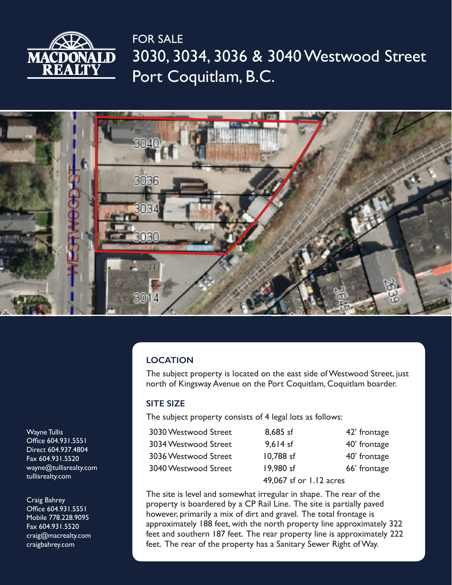

3030, 3034, 3036 & 3040 Westwood Street Port Coquitlam, B.C. FOR SALE



## **LOCATION**

The subject property is located on the east side of Westwood Street, just north of Kingsway Avenue on the Port Coquitlam, Coquitlam boarder.

### **SITE SIZE**

The subject property consists of 4 legal lots as follows:

| 3030 Westwood Street | 8,685 sf                | 42' frontage |
|----------------------|-------------------------|--------------|
| 3034 Westwood Street | $9.614$ sf              | 40' frontage |
| 3036 Westwood Street | 10,788 sf               | 40' frontage |
| 3040 Westwood Street | 19,980 sf               | 66' frontage |
|                      | 49,067 sf or 1.12 acres |              |

The site is level and somewhat irregular in shape. The rear of the property is boardered by a CP Rail Line. The site is partially paved however, primarily a mix of dirt and gravel. The total frontage is approximately 188 feet, with the north property line approximately 322 feet and southern 187 feet. The rear property line is approximately 222 feet. The rear of the property has a Sanitary Sewer Right of Way.

Wayne Tullis Office 604.931.5551 Direct 604.937.4804 Fax 604.931.5520 wayne@tullisrealty.com tullisrealty.com

Craig Bahrey Office 604.931.5551 Mobile 778.228.9095 Fax 604.931.5520 craig@macrealty.com craigbahrey.com